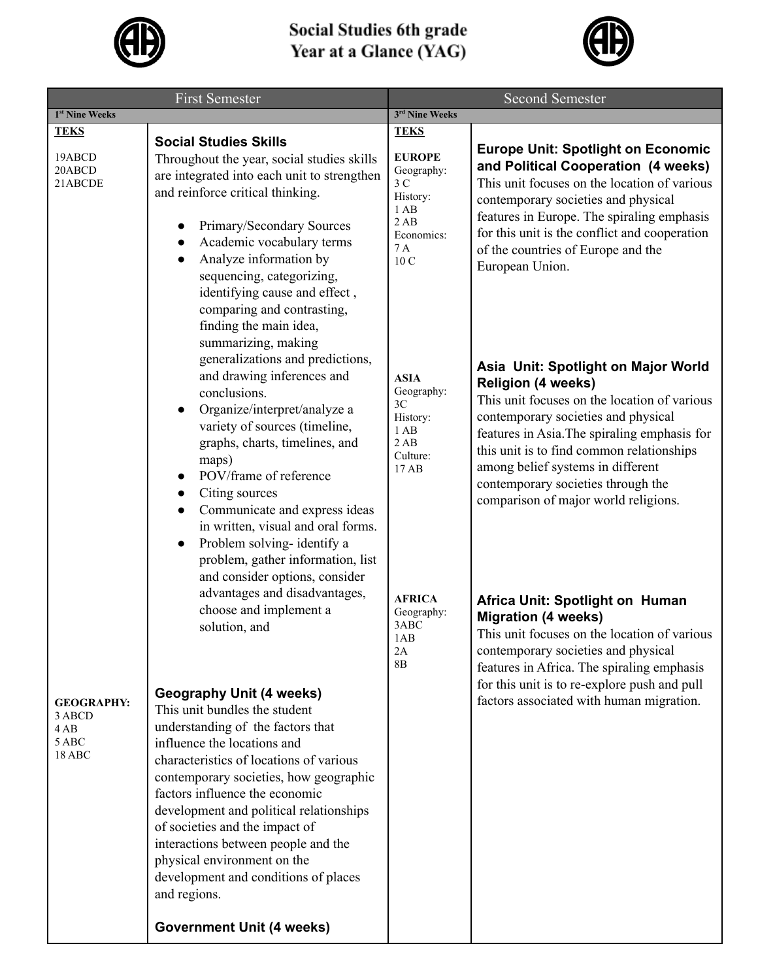

## **Social Studies 6th grade<br>Year at a Glance (YAG)**



| <b>First Semester</b>                                 |                                                                                                                                                                                                                                                                                                                                                                                                                                                                                                                                                                                                                                                                                                                                                                                                                                                                                                                                                                                                                                                                                                                   | <b>Second Semester</b>                                                                                                                               |                                                                                                                                                                                                                                                                                                                                                                                                                                                                                                                                                                                                                                                                           |
|-------------------------------------------------------|-------------------------------------------------------------------------------------------------------------------------------------------------------------------------------------------------------------------------------------------------------------------------------------------------------------------------------------------------------------------------------------------------------------------------------------------------------------------------------------------------------------------------------------------------------------------------------------------------------------------------------------------------------------------------------------------------------------------------------------------------------------------------------------------------------------------------------------------------------------------------------------------------------------------------------------------------------------------------------------------------------------------------------------------------------------------------------------------------------------------|------------------------------------------------------------------------------------------------------------------------------------------------------|---------------------------------------------------------------------------------------------------------------------------------------------------------------------------------------------------------------------------------------------------------------------------------------------------------------------------------------------------------------------------------------------------------------------------------------------------------------------------------------------------------------------------------------------------------------------------------------------------------------------------------------------------------------------------|
| 1 <sup>st</sup> Nine Weeks                            |                                                                                                                                                                                                                                                                                                                                                                                                                                                                                                                                                                                                                                                                                                                                                                                                                                                                                                                                                                                                                                                                                                                   | 3rd Nine Weeks                                                                                                                                       |                                                                                                                                                                                                                                                                                                                                                                                                                                                                                                                                                                                                                                                                           |
| <b>TEKS</b><br>19ABCD<br>20ABCD<br>21ABCDE            | <b>Social Studies Skills</b><br>Throughout the year, social studies skills<br>are integrated into each unit to strengthen<br>and reinforce critical thinking.<br>Primary/Secondary Sources<br>Academic vocabulary terms<br>Analyze information by<br>sequencing, categorizing,<br>identifying cause and effect,<br>comparing and contrasting,                                                                                                                                                                                                                                                                                                                                                                                                                                                                                                                                                                                                                                                                                                                                                                     | <b>TEKS</b><br><b>EUROPE</b><br>Geography:<br>3 <sub>C</sub><br>History:<br>1AB<br>2AB<br>Economics:<br>7 A<br>10 C                                  | <b>Europe Unit: Spotlight on Economic</b><br>and Political Cooperation (4 weeks)<br>This unit focuses on the location of various<br>contemporary societies and physical<br>features in Europe. The spiraling emphasis<br>for this unit is the conflict and cooperation<br>of the countries of Europe and the<br>European Union.                                                                                                                                                                                                                                                                                                                                           |
| <b>GEOGRAPHY:</b><br>3 ABCD<br>4AB<br>5 ABC<br>18 ABC | finding the main idea,<br>summarizing, making<br>generalizations and predictions,<br>and drawing inferences and<br>conclusions.<br>Organize/interpret/analyze a<br>$\bullet$<br>variety of sources (timeline,<br>graphs, charts, timelines, and<br>maps)<br>POV/frame of reference<br>Citing sources<br>$\bullet$<br>Communicate and express ideas<br>$\bullet$<br>in written, visual and oral forms.<br>Problem solving-identify a<br>$\bullet$<br>problem, gather information, list<br>and consider options, consider<br>advantages and disadvantages,<br>choose and implement a<br>solution, and<br><b>Geography Unit (4 weeks)</b><br>This unit bundles the student<br>understanding of the factors that<br>influence the locations and<br>characteristics of locations of various<br>contemporary societies, how geographic<br>factors influence the economic<br>development and political relationships<br>of societies and the impact of<br>interactions between people and the<br>physical environment on the<br>development and conditions of places<br>and regions.<br><b>Government Unit (4 weeks)</b> | <b>ASIA</b><br>Geography:<br>3C<br>History:<br>1AB<br>2AB<br>Culture:<br>17 AB<br><b>AFRICA</b><br>Geography:<br>3ABC<br>1AB<br>2A<br>8 <sub>B</sub> | Asia Unit: Spotlight on Major World<br><b>Religion (4 weeks)</b><br>This unit focuses on the location of various<br>contemporary societies and physical<br>features in Asia. The spiraling emphasis for<br>this unit is to find common relationships<br>among belief systems in different<br>contemporary societies through the<br>comparison of major world religions.<br>Africa Unit: Spotlight on Human<br><b>Migration (4 weeks)</b><br>This unit focuses on the location of various<br>contemporary societies and physical<br>features in Africa. The spiraling emphasis<br>for this unit is to re-explore push and pull<br>factors associated with human migration. |